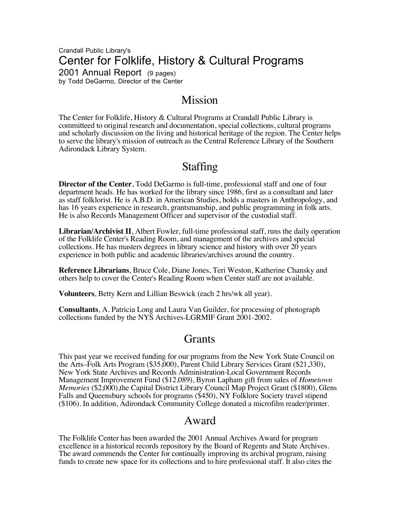## Crandall Public Library's Center for Folklife, History & Cultural Programs 2001 Annual Report (9 pages) by Todd DeGarmo, Director of the Center

## Mission

The Center for Folklife, History & Cultural Programs at Crandall Public Library is committeed to original research and documentation, special collections, cultural programs and scholarly discussion on the living and historical heritage of the region. The Center helps to serve the library's mission of outreach as the Central Reference Library of the Southern Adirondack Library System.

# Staffing

**Director of the Center**, Todd DeGarmo is full-time, professional staff and one of four department heads. He has worked for the library since 1986, first as a consultant and later as staff folklorist. He is A.B.D. in American Studies, holds a masters in Anthropology, and has 16 years experience in research, grantsmanship, and public programming in folk arts. He is also Records Management Officer and supervisor of the custodial staff.

**Librarian/Archivist II**, Albert Fowler, full-time professional staff, runs the daily operation of the Folklife Center's Reading Room, and management of the archives and special collections. He has masters degrees in library science and history with over 20 years experience in both public and academic libraries/archives around the country.

**Reference Librarians**, Bruce Cole, Diane Jones, Teri Weston, Katherine Chansky and others help to cover the Center's Reading Room when Center staff are not available.

**Volunteers**, Betty Kern and Lillian Beswick (each 2 hrs/wk all year).

**Consultants**, A. Patricia Long and Laura Van Guilder, for processing of photograph collections funded by the NYS Archives-LGRMIF Grant 2001-2002.

# **Grants**

This past year we received funding for our programs from the New York State Council on the Arts–Folk Arts Program (\$35,000), Parent Child Library Services Grant (\$21,330), New York State Archives and Records Administration-Local Government Records Management Improvement Fund (\$12,089), Byron Lapham gift from sales of *Hometown Memories* (\$2,000),the Capital District Library Council Map Project Grant (\$1800), Glens Falls and Queensbury schools for programs (\$450), NY Folklore Society travel stipend (\$106). In addition, Adirondack Community College donated a microfilm reader/printer.

## Award

The Folklife Center has been awarded the 2001 Annual Archives Award for program excellence in a historical records repository by the Board of Regents and State Archives. The award commends the Center for continually improving its archival program, raising funds to create new space for its collections and to hire professional staff. It also cites the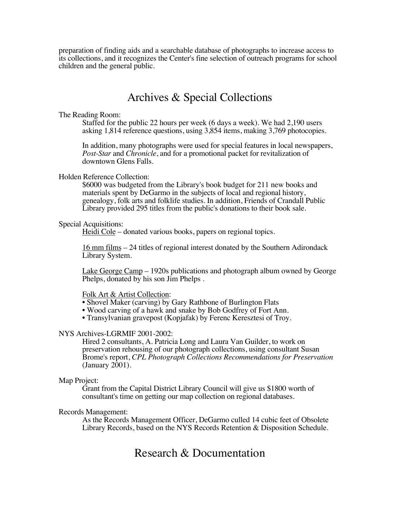preparation of finding aids and a searchable database of photographs to increase access to its collections, and it recognizes the Center's fine selection of outreach programs for school children and the general public.

# Archives & Special Collections

The Reading Room:

Staffed for the public 22 hours per week (6 days a week). We had 2,190 users asking 1,814 reference questions, using 3,854 items, making 3,769 photocopies.

In addition, many photographs were used for special features in local newspapers, *Post-Star* and *Chronicle*, and for a promotional packet for revitalization of downtown Glens Falls.

Holden Reference Collection:

\$6000 was budgeted from the Library's book budget for 211 new books and materials spent by DeGarmo in the subjects of local and regional history, genealogy, folk arts and folklife studies. In addition, Friends of Crandall Public Library provided 295 titles from the public's donations to their book sale.

## Special Acquisitions:

Heidi Cole – donated various books, papers on regional topics.

16 mm films – 24 titles of regional interest donated by the Southern Adirondack Library System.

Lake George Camp – 1920s publications and photograph album owned by George Phelps, donated by his son Jim Phelps .

#### Folk Art & Artist Collection:

- Shovel Maker (carving) by Gary Rathbone of Burlington Flats
- Wood carving of a hawk and snake by Bob Godfrey of Fort Ann.
- Transylvanian gravepost (Kopjafak) by Ferenc Keresztesi of Troy.

## NYS Archives-LGRMIF 2001-2002:

Hired 2 consultants, A. Patricia Long and Laura Van Guilder, to work on preservation rehousing of our photograph collections, using consultant Susan Brome's report, *CPL Photograph Collections Recommendations for Preservation* (January 2001).

## Map Project:

Grant from the Capital District Library Council will give us \$1800 worth of consultant's time on getting our map collection on regional databases.

#### Records Management:

As the Records Management Officer, DeGarmo culled 14 cubic feet of Obsolete Library Records, based on the NYS Records Retention & Disposition Schedule.

## Research & Documentation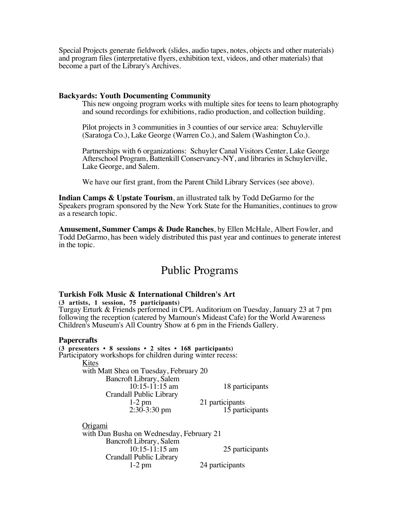Special Projects generate fieldwork (slides, audio tapes, notes, objects and other materials) and program files (interpretative flyers, exhibition text, videos, and other materials) that become a part of the Library's Archives.

## **Backyards: Youth Documenting Community**

This new ongoing program works with multiple sites for teens to learn photography and sound recordings for exhibitions, radio production, and collection building.

Pilot projects in 3 communities in 3 counties of our service area: Schuylerville (Saratoga Co.), Lake George (Warren Co.), and Salem (Washington Co.).

Partnerships with 6 organizations: Schuyler Canal Visitors Center, Lake George Afterschool Program, Battenkill Conservancy-NY, and libraries in Schuylerville, Lake George, and Salem.

We have our first grant, from the Parent Child Library Services (see above).

**Indian Camps & Upstate Tourism**, an illustrated talk by Todd DeGarmo for the Speakers program sponsored by the New York State for the Humanities, continues to grow as a research topic.

**Amusement, Summer Camps & Dude Ranches**, by Ellen McHale, Albert Fowler, and Todd DeGarmo, has been widely distributed this past year and continues to generate interest in the topic.

## Public Programs

#### **Turkish Folk Music & International Children's Art**

**(3 artists, 1 session, 75 participants)**

Turgay Erturk & Friends performed in CPL Auditorium on Tuesday, January 23 at 7 pm following the reception (catered by Mamoun's Mideast Cafe) for the World Awareness Children's Museum's All Country Show at 6 pm in the Friends Gallery.

#### **Papercrafts**

**(3 presenters • 8 sessions • 2 sites • 168 participants)** Participatory workshops for children during winter recess: Kites with Matt Shea on Tuesday, February 20 Bancroft Library, Salem 18 participants Crandall Public Library<br>1-2 pm 1-2 pm 21 participants<br>2:30-3:30 pm 15 parti 15 participants Origami with Dan Busha on Wednesday, February 21 Bancroft Library, Salem 10:15-11:15 am 25 participants Crandall Public Library 1-2 pm 24 participants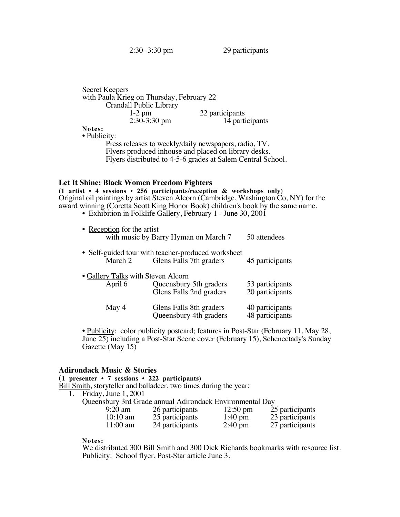2:30 -3:30 pm 29 participants

| <b>Secret Keepers</b>                     |                |                                                       |  |  |  |  |
|-------------------------------------------|----------------|-------------------------------------------------------|--|--|--|--|
| with Paula Krieg on Thursday, February 22 |                |                                                       |  |  |  |  |
| <b>Crandall Public Library</b>            |                |                                                       |  |  |  |  |
| $1-2$ pm                                  |                | 22 participants                                       |  |  |  |  |
|                                           | $2:30-3:30$ pm | 14 participants                                       |  |  |  |  |
| Notes:                                    |                |                                                       |  |  |  |  |
| • Publicity:                              |                |                                                       |  |  |  |  |
|                                           |                | Press releases to weekly/daily newspapers, radio, TV. |  |  |  |  |

Flyers produced inhouse and placed on library desks. Flyers distributed to 4-5-6 grades at Salem Central School.

## **Let It Shine: Black Women Freedom Fighters**

**(1 artist • 4 sessions • 256 participants/reception & workshops only)** Original oil paintings by artist Steven Alcorn (Cambridge, Washington Co, NY) for the award winning (Coretta Scott King Honor Book) children's book by the same name.

• Exhibition in Folklife Gallery, February 1 - June 30, 2001

| • Reception for the artist                    | with music by Barry Hyman on March 7                                          | 50 attendees                       |
|-----------------------------------------------|-------------------------------------------------------------------------------|------------------------------------|
| March 2                                       | • Self-guided tour with teacher-produced worksheet<br>Glens Falls 7th graders | 45 participants                    |
| • Gallery Talks with Steven Alcorn<br>April 6 | Queensbury 5th graders<br>Glens Falls 2nd graders                             | 53 participants<br>20 participants |
| May 4                                         | Glens Falls 8th graders<br>Queensbury 4th graders                             | 40 participants<br>48 participants |

• Publicity: color publicity postcard; features in Post-Star (February 11, May 28, June 25) including a Post-Star Scene cover (February 15), Schenectady's Sunday Gazette (May 15)

## **Adirondack Music & Stories**

|                         | $(1$ presenter $\cdot$ 7 sessions $\cdot$ 222 participants)       |                    |                 |
|-------------------------|-------------------------------------------------------------------|--------------------|-----------------|
|                         | Bill Smith, storyteller and balladeer, two times during the year: |                    |                 |
| 1. Friday, June 1, 2001 |                                                                   |                    |                 |
|                         | Queensbury 3rd Grade annual Adirondack Environmental Day          |                    |                 |
| 9:20 am                 | 26 participants                                                   | $12:50 \text{ pm}$ | 25 participants |
| $10:10 \text{ am}$      | 25 participants                                                   | $1:40 \text{ pm}$  | 23 participants |
| $11:00$ am              | 24 participants                                                   | $2:40 \text{ pm}$  | 27 participants |

#### **Notes:**

We distributed 300 Bill Smith and 300 Dick Richards bookmarks with resource list. Publicity: School flyer, Post-Star article June 3.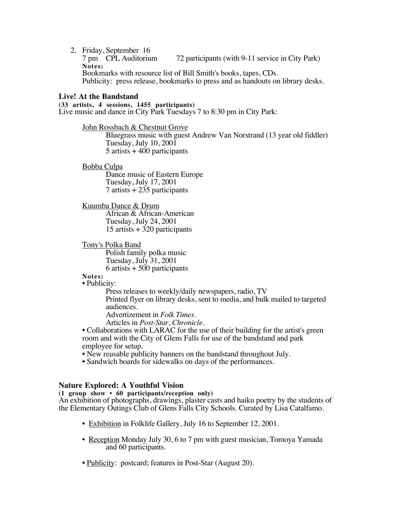2. Friday, September 16<br>7 pm CPL Auditorium 72 participants (with 9-11 service in City Park) **Notes:** Bookmarks with resource list of Bill Smith's books, tapes, CDs. Publicity: press release, bookmarks to press and as handouts on library desks.

## **Live! At the Bandstand**

**(33 artists, 4 sessions, 1455 participants)**

Live music and dance in City Park Tuesdays 7 to 8:30 pm in City Park:

John Rossbach & Chestnut Grove

Bluegrass music with guest Andrew Van Norstrand (13 year old fiddler) Tuesday, July 10, 2001  $5$  artists  $+400$  participants

Bobba Culpa

Dance music of Eastern Europe Tuesday, July 17, 2001 7 artists + 235 participants

Kuumba Dance & Drum

African & African-American Tuesday, July 24, 2001 15 artists + 320 participants

Tony's Polka Band

Polish family polka music Tuesday, July 31, 2001 6 artists + 500 participants

#### **Notes:**

• Publicity:

Press releases to weekly/daily newspapers, radio, TV Printed flyer on library desks, sent to media, and bulk mailed to targeted audiences. Advertizement in *Folk Times.*

Articles in *Post-Star*, *Chronicle*.

• Collaborations with LARAC for the use of their building for the artist's green room and with the City of Glens Falls for use of the bandstand and park employee for setup.

• New reusable publicity banners on the bandstand throughout July.

• Sandwich boards for sidewalks on days of the performances.

## **Nature Explored: A Youthful Vision**

**(1 group show • 60 participants/reception only)** An exhibition of photographs, drawings, plaster casts and haiku poetry by the students of the Elementary Outings Club of Glens Falls City Schools. Curated by Lisa Catalfamo.

- Exhibition in Folklife Gallery, July 16 to September 12, 2001.
- Reception Monday July 30, 6 to 7 pm with guest musician, Tomoya Yamada and 60 participants.
- Publicity: postcard; features in Post-Star (August 20).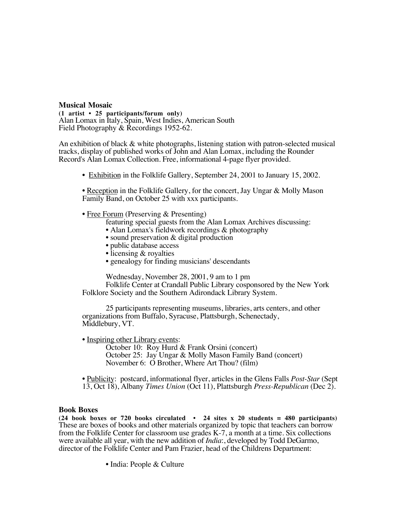## **Musical Mosaic**

**(1 artist • 25 participants/forum only)** Alan Lomax in Italy, Spain, West Indies, American South Field Photography & Recordings 1952-62.

An exhibition of black & white photographs, listening station with patron-selected musical tracks, display of published works of John and Alan Lomax, including the Rounder Record's Alan Lomax Collection. Free, informational 4-page flyer provided.

• Exhibition in the Folklife Gallery, September 24, 2001 to January 15, 2002.

• Reception in the Folklife Gallery, for the concert, Jay Ungar & Molly Mason Family Band, on October 25 with xxx participants.

#### • Free Forum (Preserving & Presenting)

- featuring special guests from the Alan Lomax Archives discussing:
- Alan Lomax's fieldwork recordings & photography
- sound preservation & digital production
- public database access
- licensing & royalties
- genealogy for finding musicians' descendants

Wednesday, November 28, 2001, 9 am to 1 pm

Folklife Center at Crandall Public Library cosponsored by the New York Folklore Society and the Southern Adirondack Library System.

25 participants representing museums, libraries, arts centers, and other organizations from Buffalo, Syracuse, Plattsburgh, Schenectady, Middlebury, VT.

• Inspiring other Library events:

October 10: Roy Hurd & Frank Orsini (concert) October 25: Jay Ungar & Molly Mason Family Band (concert) November 6: O Brother, Where Art Thou? (film)

• Publicity: postcard, informational flyer, articles in the Glens Falls *Post-Star* (Sept 13, Oct 18), Albany *Times Union* (Oct 11), Plattsburgh *Press-Republican* (Dec 2).

#### **Book Boxes**

**(24 book boxes or 720 books circulated • 24 sites x 20 students = 480 participants)** These are boxes of books and other materials organized by topic that teachers can borrow from the Folklife Center for classroom use grades K-7, a month at a time. Six collections were available all year, with the new addition of *India*:, developed by Todd DeGarmo, director of the Folklife Center and Pam Frazier, head of the Childrens Department:

• India: People & Culture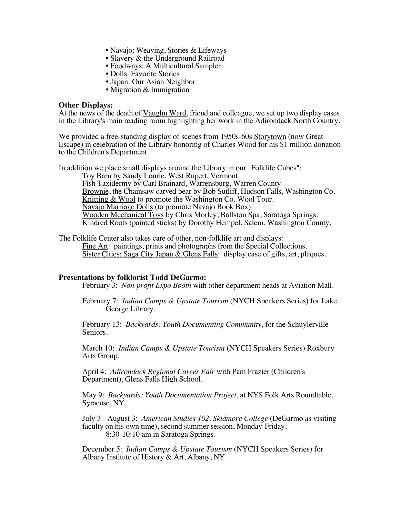- Navajo: Weaving, Stories & Lifeways
- Slavery & the Underground Railroad
- Foodways: A Multicultural Sampler
- Dolls: Favorite Stories
- Japan: Our Asian Neighbor
- Migration & Immigration

## **Other Displays:**

At the news of the death of Vaughn Ward, friend and colleague, we set up two display cases in the Library's main reading room highlighting her work in the Adirondack North Country.

We provided a free-standing display of scenes from 1950s-60s Storytown (now Great Escape) in celebration of the Library honoring of Charles Wood for his \$1 million donation to the Children's Department.

In addition we place small displays around the Library in our "Folklife Cubes":

Toy Barn by Sandy Lourie, West Rupert, Vermont. Fish Taxidermy by Carl Brainard, Warrensburg, Warren County Brownie, the Chainsaw carved bear by Bob Sutliff, Hudson Falls, Washington Co. Knitting & Wool to promote the Washington Co. Wool Tour. Navajo Marriage Dolls (to promote Navajo Book Box). Wooden Mechanical Toys by Chris Morley, Ballston Spa, Saratoga Springs. Kindred Roots (painted sticks) by Dorothy Hempel, Salem, Washington County.

The Folklife Center also takes care of other, non-folklife art and displays: Fine Art: paintings, prints and photographs from the Special Collections. Sister Cities: Saga City Japan & Glens Falls: display case of gifts, art, plaques.

## **Presentations by folklorist Todd DeGarmo:**

February 3: *Non-profit Expo Booth* with other department heads at Aviation Mall.

February 7: *Indian Camps & Upstate Tourism* (NYCH Speakers Series) for Lake George Library.

February 13: *Backyards: Youth Documenting Community*, for the Schuylerville Seniors.

March 10: *Indian Camps & Upstate Tourism* (NYCH Speakers Series) Roxbury Arts Group.

April 4: *Adirondack Regional Career Fair* with Pam Frazier (Children's Department), Glens Falls High School.

May 9: *Backyards: Youth Documentation Project*, at NYS Folk Arts Roundtable, Syracuse, NY.

July 3 - August 3: *American Studies 102, Skidmore College* (DeGarmo as visiting faculty on his own time), second summer session, Monday-Friday, 8:30-10:10 am in Saratoga Springs.

December 5: *Indian Camps & Upstate Tourism* (NYCH Speakers Series) for Albany Institute of History & Art, Albany, NY.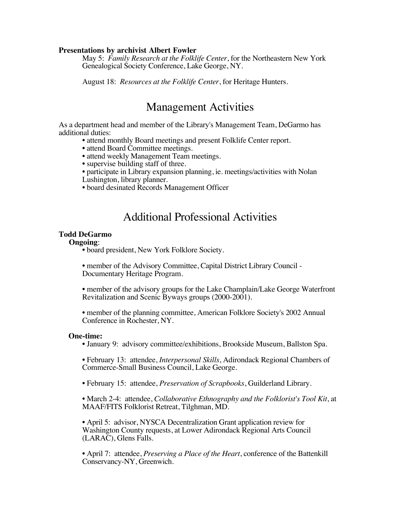#### **Presentations by archivist Albert Fowler**

May 5: *Family Research at the Folklife Center*, for the Northeastern New York Genealogical Society Conference, Lake George, NY.

August 18: *Resources at the Folklife Center*, for Heritage Hunters.

## Management Activities

As a department head and member of the Library's Management Team, DeGarmo has additional duties:

- attend monthly Board meetings and present Folklife Center report.
- attend Board Committee meetings.
- attend weekly Management Team meetings.
- supervise building staff of three.
- participate in Library expansion planning, ie. meetings/activities with Nolan
- Lushington, library planner.
- board desinated Records Management Officer

## Additional Professional Activities

#### **Todd DeGarmo**

#### **Ongoing**:

• board president, New York Folklore Society.

• member of the Advisory Committee, Capital District Library Council - Documentary Heritage Program.

• member of the advisory groups for the Lake Champlain/Lake George Waterfront Revitalization and Scenic Byways groups (2000-2001).

• member of the planning committee, American Folklore Society's 2002 Annual Conference in Rochester, NY.

#### **One-time:**

• January 9: advisory committee/exhibitions, Brookside Museum, Ballston Spa.

• February 13: attendee, *Interpersonal Skills*, Adirondack Regional Chambers of Commerce-Small Business Council, Lake George.

• February 15: attendee, *Preservation of Scrapbooks*, Guilderland Library.

• March 2-4: attendee, *Collaborative Ethnography and the Folklorist's Tool Kit*, at MAAF/FITS Folklorist Retreat, Tilghman, MD.

• April 5: advisor, NYSCA Decentralization Grant application review for Washington County requests, at Lower Adirondack Regional Arts Council (LARAC), Glens Falls.

• April 7: attendee, *Preserving a Place of the Heart*, conference of the Battenkill Conservancy-NY, Greenwich.